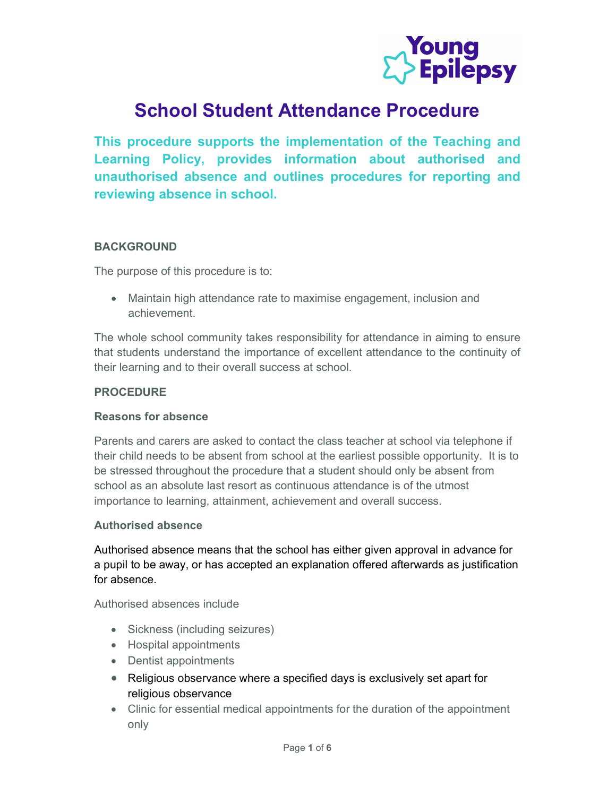

# School Student Attendance Procedure

This procedure supports the implementation of the Teaching and Learning Policy, provides information about authorised and unauthorised absence and outlines procedures for reporting and reviewing absence in school.

# BACKGROUND

The purpose of this procedure is to:

 Maintain high attendance rate to maximise engagement, inclusion and achievement.

The whole school community takes responsibility for attendance in aiming to ensure that students understand the importance of excellent attendance to the continuity of their learning and to their overall success at school.

# PROCEDURE

# Reasons for absence

Parents and carers are asked to contact the class teacher at school via telephone if their child needs to be absent from school at the earliest possible opportunity. It is to be stressed throughout the procedure that a student should only be absent from school as an absolute last resort as continuous attendance is of the utmost importance to learning, attainment, achievement and overall success.

# Authorised absence

Authorised absence means that the school has either given approval in advance for a pupil to be away, or has accepted an explanation offered afterwards as justification for absence.

Authorised absences include

- Sickness (including seizures)
- Hospital appointments
- Dentist appointments
- Religious observance where a specified days is exclusively set apart for religious observance
- Clinic for essential medical appointments for the duration of the appointment only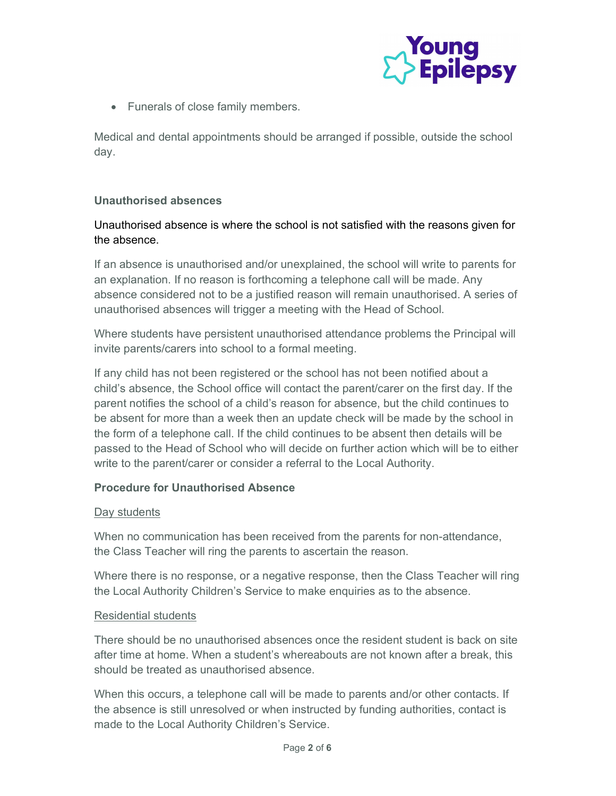

• Funerals of close family members.

Medical and dental appointments should be arranged if possible, outside the school day.

# Unauthorised absences

# Unauthorised absence is where the school is not satisfied with the reasons given for the absence.

If an absence is unauthorised and/or unexplained, the school will write to parents for an explanation. If no reason is forthcoming a telephone call will be made. Any absence considered not to be a justified reason will remain unauthorised. A series of unauthorised absences will trigger a meeting with the Head of School.

Where students have persistent unauthorised attendance problems the Principal will invite parents/carers into school to a formal meeting.

If any child has not been registered or the school has not been notified about a child's absence, the School office will contact the parent/carer on the first day. If the parent notifies the school of a child's reason for absence, but the child continues to be absent for more than a week then an update check will be made by the school in the form of a telephone call. If the child continues to be absent then details will be passed to the Head of School who will decide on further action which will be to either write to the parent/carer or consider a referral to the Local Authority.

# Procedure for Unauthorised Absence

### Day students

When no communication has been received from the parents for non-attendance, the Class Teacher will ring the parents to ascertain the reason.

Where there is no response, or a negative response, then the Class Teacher will ring the Local Authority Children's Service to make enquiries as to the absence.

### Residential students

There should be no unauthorised absences once the resident student is back on site after time at home. When a student's whereabouts are not known after a break, this should be treated as unauthorised absence.

When this occurs, a telephone call will be made to parents and/or other contacts. If the absence is still unresolved or when instructed by funding authorities, contact is made to the Local Authority Children's Service.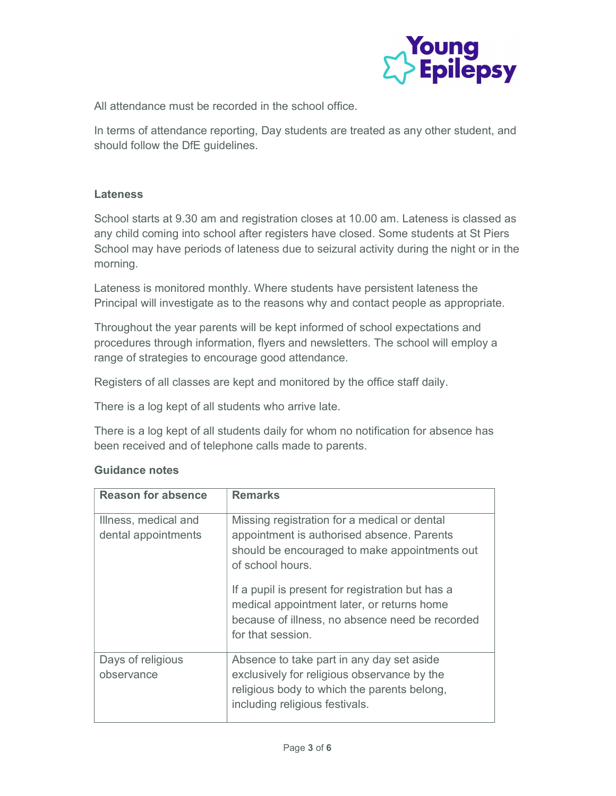

All attendance must be recorded in the school office.

In terms of attendance reporting, Day students are treated as any other student, and should follow the DfE guidelines.

## **Lateness**

School starts at 9.30 am and registration closes at 10.00 am. Lateness is classed as any child coming into school after registers have closed. Some students at St Piers School may have periods of lateness due to seizural activity during the night or in the morning.

Lateness is monitored monthly. Where students have persistent lateness the Principal will investigate as to the reasons why and contact people as appropriate.

Throughout the year parents will be kept informed of school expectations and procedures through information, flyers and newsletters. The school will employ a range of strategies to encourage good attendance.

Registers of all classes are kept and monitored by the office staff daily.

There is a log kept of all students who arrive late.

There is a log kept of all students daily for whom no notification for absence has been received and of telephone calls made to parents.

| <b>Reason for absence</b>                   | <b>Remarks</b>                                                                                                                                                                                                                                                                                                                            |
|---------------------------------------------|-------------------------------------------------------------------------------------------------------------------------------------------------------------------------------------------------------------------------------------------------------------------------------------------------------------------------------------------|
| Illness, medical and<br>dental appointments | Missing registration for a medical or dental<br>appointment is authorised absence. Parents<br>should be encouraged to make appointments out<br>of school hours.<br>If a pupil is present for registration but has a<br>medical appointment later, or returns home<br>because of illness, no absence need be recorded<br>for that session. |
| Days of religious                           | Absence to take part in any day set aside                                                                                                                                                                                                                                                                                                 |
| observance                                  | exclusively for religious observance by the<br>religious body to which the parents belong,<br>including religious festivals.                                                                                                                                                                                                              |

### Guidance notes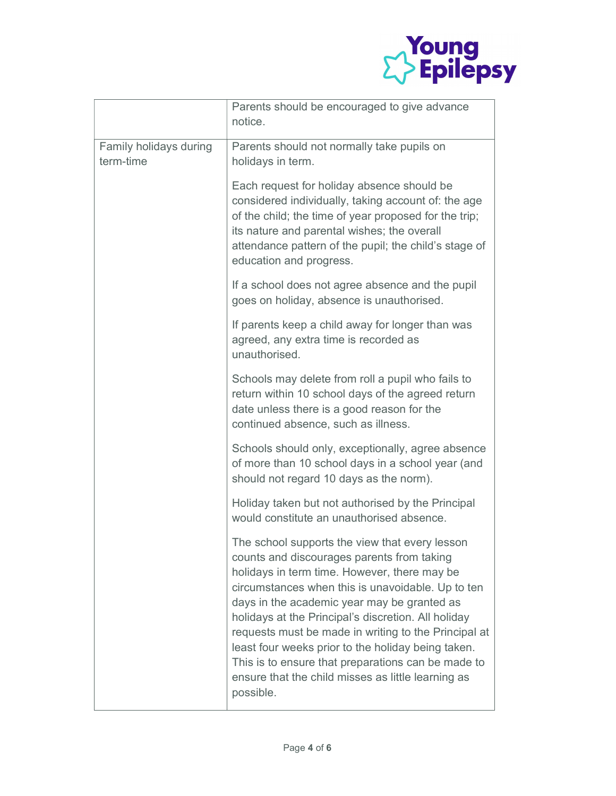

|                                     | Parents should be encouraged to give advance<br>notice.                                                                                                                                                                                                                                                                                                                                                                                                                                                                                        |
|-------------------------------------|------------------------------------------------------------------------------------------------------------------------------------------------------------------------------------------------------------------------------------------------------------------------------------------------------------------------------------------------------------------------------------------------------------------------------------------------------------------------------------------------------------------------------------------------|
| Family holidays during<br>term-time | Parents should not normally take pupils on<br>holidays in term.                                                                                                                                                                                                                                                                                                                                                                                                                                                                                |
|                                     | Each request for holiday absence should be<br>considered individually, taking account of: the age<br>of the child; the time of year proposed for the trip;<br>its nature and parental wishes; the overall<br>attendance pattern of the pupil; the child's stage of<br>education and progress.                                                                                                                                                                                                                                                  |
|                                     | If a school does not agree absence and the pupil<br>goes on holiday, absence is unauthorised.                                                                                                                                                                                                                                                                                                                                                                                                                                                  |
|                                     | If parents keep a child away for longer than was<br>agreed, any extra time is recorded as<br>unauthorised.                                                                                                                                                                                                                                                                                                                                                                                                                                     |
|                                     | Schools may delete from roll a pupil who fails to<br>return within 10 school days of the agreed return<br>date unless there is a good reason for the<br>continued absence, such as illness.                                                                                                                                                                                                                                                                                                                                                    |
|                                     | Schools should only, exceptionally, agree absence<br>of more than 10 school days in a school year (and<br>should not regard 10 days as the norm).                                                                                                                                                                                                                                                                                                                                                                                              |
|                                     | Holiday taken but not authorised by the Principal<br>would constitute an unauthorised absence.                                                                                                                                                                                                                                                                                                                                                                                                                                                 |
|                                     | The school supports the view that every lesson<br>counts and discourages parents from taking<br>holidays in term time. However, there may be<br>circumstances when this is unavoidable. Up to ten<br>days in the academic year may be granted as<br>holidays at the Principal's discretion. All holiday<br>requests must be made in writing to the Principal at<br>least four weeks prior to the holiday being taken.<br>This is to ensure that preparations can be made to<br>ensure that the child misses as little learning as<br>possible. |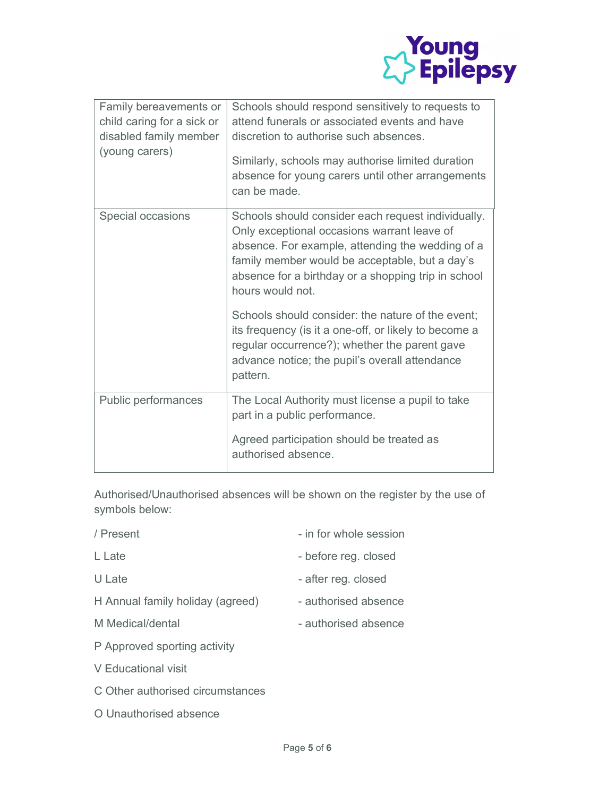

| Family bereavements or<br>child caring for a sick or<br>disabled family member<br>(young carers) | Schools should respond sensitively to requests to<br>attend funerals or associated events and have<br>discretion to authorise such absences.<br>Similarly, schools may authorise limited duration<br>absence for young carers until other arrangements<br>can be made.             |
|--------------------------------------------------------------------------------------------------|------------------------------------------------------------------------------------------------------------------------------------------------------------------------------------------------------------------------------------------------------------------------------------|
| Special occasions                                                                                | Schools should consider each request individually.<br>Only exceptional occasions warrant leave of<br>absence. For example, attending the wedding of a<br>family member would be acceptable, but a day's<br>absence for a birthday or a shopping trip in school<br>hours would not. |
|                                                                                                  | Schools should consider: the nature of the event;<br>its frequency (is it a one-off, or likely to become a<br>regular occurrence?); whether the parent gave<br>advance notice; the pupil's overall attendance<br>pattern.                                                          |
| Public performances                                                                              | The Local Authority must license a pupil to take<br>part in a public performance.<br>Agreed participation should be treated as<br>authorised absence.                                                                                                                              |

Authorised/Unauthorised absences will be shown on the register by the use of symbols below:

| / Present                        | - in for whole session |
|----------------------------------|------------------------|
| L Late                           | - before reg. closed   |
| U Late                           | - after reg. closed    |
| H Annual family holiday (agreed) | - authorised absence   |
| M Medical/dental                 | - authorised absence   |
| P Approved sporting activity     |                        |

V Educational visit

C Other authorised circumstances

O Unauthorised absence